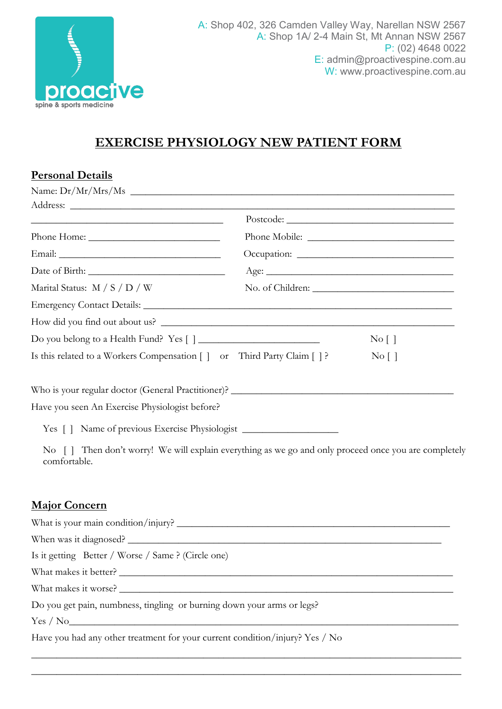

## **EXERCISE PHYSIOLOGY NEW PATIENT FORM**

| <b>Personal Details</b>                                                                                                                                                                                  |                                  |
|----------------------------------------------------------------------------------------------------------------------------------------------------------------------------------------------------------|----------------------------------|
| Name: $Dr/Mr/Mrs/Ms$                                                                                                                                                                                     |                                  |
|                                                                                                                                                                                                          |                                  |
| <u> Alexandria de la contrada de la contrada de la contrada de la contrada de la contrada de la contrada de la c</u>                                                                                     |                                  |
|                                                                                                                                                                                                          |                                  |
|                                                                                                                                                                                                          |                                  |
|                                                                                                                                                                                                          |                                  |
| Marital Status: M / S / D / W                                                                                                                                                                            |                                  |
|                                                                                                                                                                                                          |                                  |
|                                                                                                                                                                                                          |                                  |
|                                                                                                                                                                                                          | $\overline{N}$ o $\lceil \rceil$ |
| Is this related to a Workers Compensation [] or Third Party Claim []?                                                                                                                                    | No [ ]                           |
| Yes [] Name of previous Exercise Physiologist __________________________________<br>No [] Then don't worry! We will explain everything as we go and only proceed once you are completely<br>comfortable. |                                  |
| <b>Major Concern</b>                                                                                                                                                                                     |                                  |
|                                                                                                                                                                                                          |                                  |
| When was it diagnosed?                                                                                                                                                                                   |                                  |
| Is it getting Better / Worse / Same ? (Circle one)                                                                                                                                                       |                                  |
|                                                                                                                                                                                                          |                                  |
|                                                                                                                                                                                                          |                                  |
| Do you get pain, numbness, tingling or burning down your arms or legs?                                                                                                                                   |                                  |
| Yes / No                                                                                                                                                                                                 |                                  |
| Have you had any other treatment for your current condition/injury? Yes / No                                                                                                                             |                                  |

\_\_\_\_\_\_\_\_\_\_\_\_\_\_\_\_\_\_\_\_\_\_\_\_\_\_\_\_\_\_\_\_\_\_\_\_\_\_\_\_\_\_\_\_\_\_\_\_\_\_\_\_\_\_\_\_\_\_\_\_\_\_\_\_\_\_\_\_\_\_\_\_\_\_\_\_\_\_\_\_\_\_\_\_\_ \_\_\_\_\_\_\_\_\_\_\_\_\_\_\_\_\_\_\_\_\_\_\_\_\_\_\_\_\_\_\_\_\_\_\_\_\_\_\_\_\_\_\_\_\_\_\_\_\_\_\_\_\_\_\_\_\_\_\_\_\_\_\_\_\_\_\_\_\_\_\_\_\_\_\_\_\_\_\_\_\_\_\_\_\_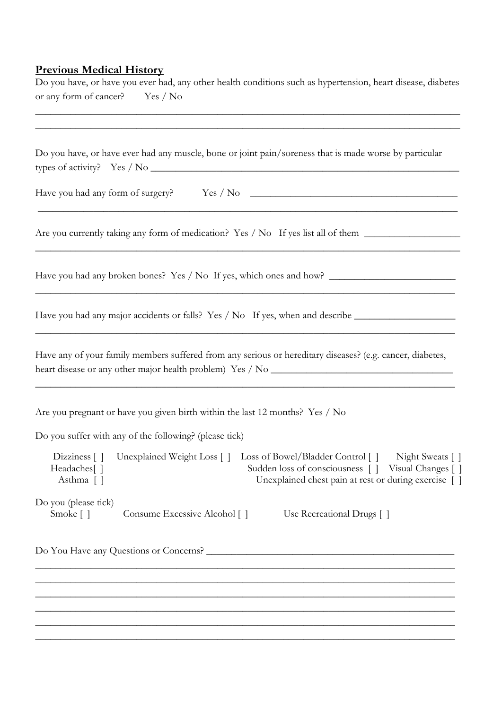## **Previous Medical History**

Do you have, or have you ever had, any other health conditions such as hypertension, heart disease, diabetes or any form of cancer? Yes / No

\_\_\_\_\_\_\_\_\_\_\_\_\_\_\_\_\_\_\_\_\_\_\_\_\_\_\_\_\_\_\_\_\_\_\_\_\_\_\_\_\_\_\_\_\_\_\_\_\_\_\_\_\_\_\_\_\_\_\_\_\_\_\_\_\_\_\_\_\_\_\_\_\_\_\_\_\_\_\_\_\_\_\_\_

|                                                                          | Do you have, or have ever had any muscle, bone or joint pain/soreness that is made worse by particular                                                                                         |
|--------------------------------------------------------------------------|------------------------------------------------------------------------------------------------------------------------------------------------------------------------------------------------|
|                                                                          |                                                                                                                                                                                                |
|                                                                          | Are you currently taking any form of medication? Yes / No If yes list all of them                                                                                                              |
|                                                                          |                                                                                                                                                                                                |
|                                                                          | Have you had any major accidents or falls? Yes / No If yes, when and describe ______________________                                                                                           |
|                                                                          | Have any of your family members suffered from any serious or hereditary diseases? (e.g. cancer, diabetes,                                                                                      |
|                                                                          |                                                                                                                                                                                                |
|                                                                          | Are you pregnant or have you given birth within the last 12 months? Yes / No                                                                                                                   |
|                                                                          | Do you suffer with any of the following? (please tick)                                                                                                                                         |
| Dizziness $\lceil \cdot \rceil$<br>Headaches <sup>[1]</sup><br>Asthma [] | Unexplained Weight Loss [] Loss of Bowel/Bladder Control []<br>Night Sweats []<br>Sudden loss of consciousness [ ] Visual Changes [ ]<br>Unexplained chest pain at rest or during exercise [ ] |
| Do you (please tick)<br>Smoke []                                         | Consume Excessive Alcohol []<br>Use Recreational Drugs []                                                                                                                                      |

\_\_\_\_\_\_\_\_\_\_\_\_\_\_\_\_\_\_\_\_\_\_\_\_\_\_\_\_\_\_\_\_\_\_\_\_\_\_\_\_\_\_\_\_\_\_\_\_\_\_\_\_\_\_\_\_\_\_\_\_\_\_\_\_\_\_\_\_\_\_\_\_\_\_\_\_\_\_\_\_\_\_\_ \_\_\_\_\_\_\_\_\_\_\_\_\_\_\_\_\_\_\_\_\_\_\_\_\_\_\_\_\_\_\_\_\_\_\_\_\_\_\_\_\_\_\_\_\_\_\_\_\_\_\_\_\_\_\_\_\_\_\_\_\_\_\_\_\_\_\_\_\_\_\_\_\_\_\_\_\_\_\_\_\_\_\_ \_\_\_\_\_\_\_\_\_\_\_\_\_\_\_\_\_\_\_\_\_\_\_\_\_\_\_\_\_\_\_\_\_\_\_\_\_\_\_\_\_\_\_\_\_\_\_\_\_\_\_\_\_\_\_\_\_\_\_\_\_\_\_\_\_\_\_\_\_\_\_\_\_\_\_\_\_\_\_\_\_\_\_ \_\_\_\_\_\_\_\_\_\_\_\_\_\_\_\_\_\_\_\_\_\_\_\_\_\_\_\_\_\_\_\_\_\_\_\_\_\_\_\_\_\_\_\_\_\_\_\_\_\_\_\_\_\_\_\_\_\_\_\_\_\_\_\_\_\_\_\_\_\_\_\_\_\_\_\_\_\_\_\_\_\_\_